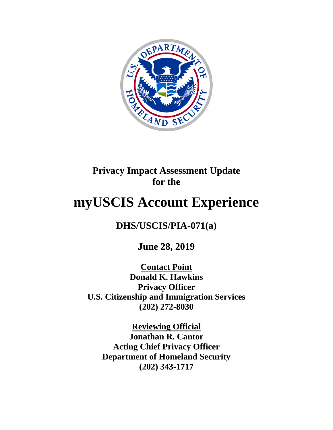

# **Privacy Impact Assessment Update for the**

# **myUSCIS Account Experience**

## **DHS/USCIS/PIA-071(a)**

**June 28, 2019**

**Contact Point Donald K. Hawkins Privacy Officer U.S. Citizenship and Immigration Services (202) 272-8030**

**Reviewing Official Jonathan R. Cantor Acting Chief Privacy Officer Department of Homeland Security (202) 343-1717**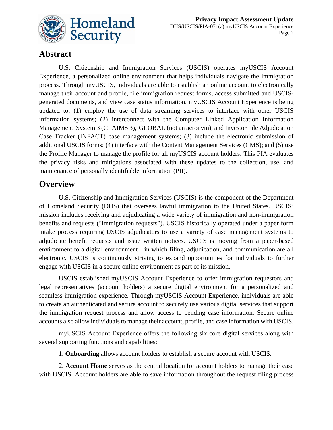

### **Abstract**

U.S. Citizenship and Immigration Services (USCIS) operates myUSCIS Account Experience, a personalized online environment that helps individuals navigate the immigration process. Through myUSCIS, individuals are able to establish an online account to electronically manage their account and profile, file immigration request forms, access submitted and USCISgenerated documents, and view case status information. myUSCIS Account Experience is being updated to: (1) employ the use of data streaming services to interface with other USCIS information systems; (2) interconnect with the Computer Linked Application Information Management System 3 (CLAIMS 3), GLOBAL (not an acronym), and Investor File Adjudication Case Tracker (INFACT) case management systems; (3) include the electronic submission of additional USCIS forms; (4) interface with the Content Management Services (CMS); and (5) use the Profile Manager to manage the profile for all myUSCIS account holders. This PIA evaluates the privacy risks and mitigations associated with these updates to the collection, use, and maintenance of personally identifiable information (PII).

#### **Overview**

U.S. Citizenship and Immigration Services (USCIS) is the component of the Department of Homeland Security (DHS) that oversees lawful immigration to the United States. USCIS' mission includes receiving and adjudicating a wide variety of immigration and non-immigration benefits and requests ("immigration requests"). USCIS historically operated under a paper form intake process requiring USCIS adjudicators to use a variety of case management systems to adjudicate benefit requests and issue written notices. USCIS is moving from a paper-based environment to a digital environment—in which filing, adjudication, and communication are all electronic. USCIS is continuously striving to expand opportunities for individuals to further engage with USCIS in a secure online environment as part of its mission.

USCIS established myUSCIS Account Experience to offer immigration requestors and legal representatives (account holders) a secure digital environment for a personalized and seamless immigration experience. Through myUSCIS Account Experience, individuals are able to create an authenticated and secure account to securely use various digital services that support the immigration request process and allow access to pending case information. Secure online accounts also allow individuals to manage their account, profile, and case information with USCIS.

myUSCIS Account Experience offers the following six core digital services along with several supporting functions and capabilities:

1. **Onboarding** allows account holders to establish a secure account with USCIS.

2. **Account Home** serves as the central location for account holders to manage their case with USCIS. Account holders are able to save information throughout the request filing process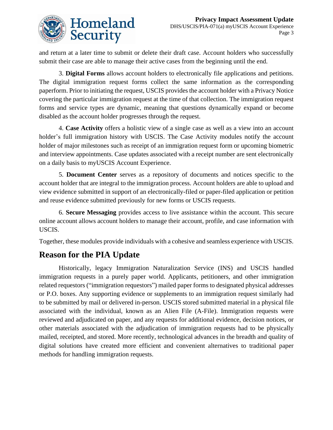

and return at a later time to submit or delete their draft case. Account holders who successfully submit their case are able to manage their active cases from the beginning until the end.

3. **Digital Forms** allows account holders to electronically file applications and petitions. The digital immigration request forms collect the same information as the corresponding paperform. Prior to initiating the request, USCIS provides the account holder with a Privacy Notice covering the particular immigration request at the time of that collection. The immigration request forms and service types are dynamic, meaning that questions dynamically expand or become disabled as the account holder progresses through the request.

4. **Case Activity** offers a holistic view of a single case as well as a view into an account holder's full immigration history with USCIS. The Case Activity modules notify the account holder of major milestones such as receipt of an immigration request form or upcoming biometric and interview appointments. Case updates associated with a receipt number are sent electronically on a daily basis to myUSCIS Account Experience.

5. **Document Center** serves as a repository of documents and notices specific to the account holder that are integral to the immigration process. Account holders are able to upload and view evidence submitted in support of an electronically-filed or paper-filed application or petition and reuse evidence submitted previously for new forms or USCIS requests.

6. **Secure Messaging** provides access to live assistance within the account. This secure online account allows account holders to manage their account, profile, and case information with USCIS.

Together, these modules provide individuals with a cohesive and seamless experience with USCIS.

### **Reason for the PIA Update**

Historically, legacy Immigration Naturalization Service (INS) and USCIS handled immigration requests in a purely paper world. Applicants, petitioners, and other immigration related requestors ("immigration requestors") mailed paper forms to designated physical addresses or P.O. boxes. Any supporting evidence or supplements to an immigration request similarly had to be submitted by mail or delivered in-person. USCIS stored submitted material in a physical file associated with the individual, known as an Alien File (A-File). Immigration requests were reviewed and adjudicated on paper, and any requests for additional evidence, decision notices, or other materials associated with the adjudication of immigration requests had to be physically mailed, receipted, and stored. More recently, technological advances in the breadth and quality of digital solutions have created more efficient and convenient alternatives to traditional paper methods for handling immigration requests.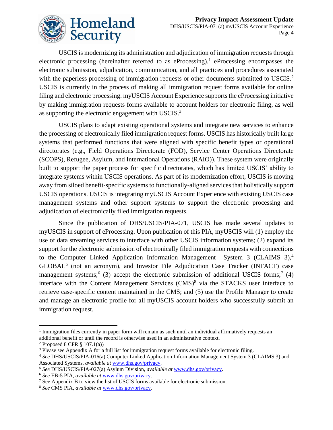

USCIS is modernizing its administration and adjudication of immigration requests through electronic processing (hereinafter referred to as eProcessing).<sup>1</sup> eProcessing encompasses the electronic submission, adjudication, communication, and all practices and procedures associated with the paperless processing of immigration requests or other documents submitted to USCIS.<sup>2</sup> USCIS is currently in the process of making all immigration request forms available for online filing and electronic processing. myUSCIS Account Experience supports the eProcessing initiative by making immigration requests forms available to account holders for electronic filing, as well as supporting the electronic engagement with USCIS. $3$ 

USCIS plans to adapt existing operational systems and integrate new services to enhance the processing of electronically filed immigration request forms. USCIS has historically built large systems that performed functions that were aligned with specific benefit types or operational directorates (e.g., Field Operations Directorate (FOD), Service Center Operations Directorate (SCOPS), Refugee, Asylum, and International Operations (RAIO)). These system were originally built to support the paper process for specific directorates, which has limited USCIS' ability to integrate systems within USCIS operations. As part of its modernization effort, USCIS is moving away from siloed benefit-specific systems to functionally-aligned services that holistically support USCIS operations. USCIS is integrating myUSCIS Account Experience with existing USCIS case management systems and other support systems to support the electronic processing and adjudication of electronically filed immigration requests.

Since the publication of DHS/USCIS/PIA-071, USCIS has made several updates to myUSCIS in support of eProcessing. Upon publication of this PIA, myUSCIS will (1) employ the use of data streaming services to interface with other USCIS information systems; (2) expand its support for the electronic submission of electronically filed immigration requests with connections to the Computer Linked Application Information Management System 3 (CLAIMS  $3$ ),<sup>4</sup> GLOBAL<sup>5</sup> (not an acronym), and Investor File Adjudication Case Tracker (INFACT) case management systems;  $(3)$  accept the electronic submission of additional USCIS forms;  $(4)$ interface with the Content Management Services (CMS)<sup>8</sup> via the STACKS user interface to retrieve case-specific content maintained in the CMS; and (5) use the Profile Manager to create and manage an electronic profile for all myUSCIS account holders who successfully submit an immigration request.

<sup>&</sup>lt;sup>1</sup> Immigration files currently in paper form will remain as such until an individual affirmatively requests an additional benefit or until the record is otherwise used in an administrative context.

 $2$  Proposed 8 CFR  $\S$  107.1(a))

<sup>&</sup>lt;sup>3</sup> Please see Appendix A for a full list for immigration request forms available for electronic filing.

<sup>4</sup> *See* DHS/USCIS/PIA-016(a) Computer Linked Application Information Management System 3 (CLAIMS 3) and Associated Systems, *available at* [www.dhs.gov/privacy.](http://www.dhs.gov/privacy)

<sup>5</sup> *See* DHS/USCIS/PIA-027(a) Asylum Division, *available at* [www.dhs.gov/privacy.](http://www.dhs.gov/privacy)

<sup>6</sup> *See* EB-5 PIA, *available at* [www.dhs.gov/privacy.](http://www.dhs.gov/privacy)

<sup>&</sup>lt;sup>7</sup> See Appendix B to view the list of USCIS forms available for electronic submission.

<sup>8</sup> *See* CMS PIA, *available at* [www.dhs.gov/privacy.](http://www.dhs.gov/privacy)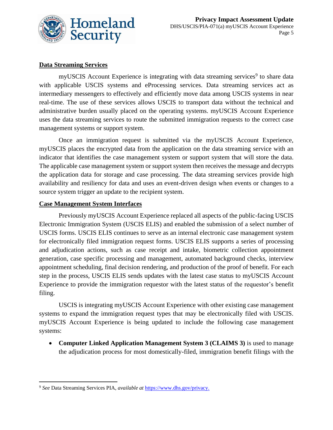

#### **Data Streaming Services**

myUSCIS Account Experience is integrating with data streaming services<sup>9</sup> to share data with applicable USCIS systems and eProcessing services. Data streaming services act as intermediary messengers to effectively and efficiently move data among USCIS systems in near real-time. The use of these services allows USCIS to transport data without the technical and administrative burden usually placed on the operating systems. myUSCIS Account Experience uses the data streaming services to route the submitted immigration requests to the correct case management systems or support system.

Once an immigration request is submitted via the myUSCIS Account Experience, myUSCIS places the encrypted data from the application on the data streaming service with an indicator that identifies the case management system or support system that will store the data. The applicable case management system or support system then receives the message and decrypts the application data for storage and case processing. The data streaming services provide high availability and resiliency for data and uses an event-driven design when events or changes to a source system trigger an update to the recipient system.

#### **Case Management System Interfaces**

Previously myUSCIS Account Experience replaced all aspects of the public-facing USCIS Electronic Immigration System (USCIS ELIS) and enabled the submission of a select number of USCIS forms. USCIS ELIS continues to serve as an internal electronic case management system for electronically filed immigration request forms. USCIS ELIS supports a series of processing and adjudication actions, such as case receipt and intake, biometric collection appointment generation, case specific processing and management, automated background checks, interview appointment scheduling, final decision rendering, and production of the proof of benefit. For each step in the process, USCIS ELIS sends updates with the latest case status to myUSCIS Account Experience to provide the immigration requestor with the latest status of the requestor's benefit filing.

USCIS is integrating myUSCIS Account Experience with other existing case management systems to expand the immigration request types that may be electronically filed with USCIS. myUSCIS Account Experience is being updated to include the following case management systems:

• **Computer Linked Application Management System 3 (CLAIMS 3)** is used to manage the adjudication process for most domestically-filed, immigration benefit filings with the

<sup>9</sup> *See* Data Streaming Services PIA, *available at* [https://www.dhs.gov/privacy.](https://www.dhs.gov/privacy)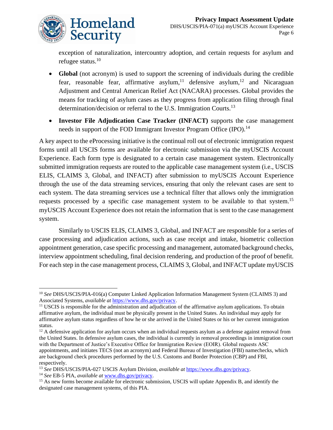

exception of naturalization, intercountry adoption, and certain requests for asylum and refugee status.<sup>10</sup>

- **Global** (not acronym) is used to support the screening of individuals during the credible fear, reasonable fear, affirmative asylum,<sup>11</sup> defensive asylum,<sup>12</sup> and Nicaraguan Adjustment and Central American Relief Act (NACARA) processes. Global provides the means for tracking of asylum cases as they progress from application filing through final determination/decision or referral to the U.S. Immigration Courts.<sup>13</sup>
- **Investor File Adjudication Case Tracker (INFACT)** supports the case management needs in support of the FOD Immigrant Investor Program Office (IPO).<sup>14</sup>

A key aspect to the eProcessing initiative is the continual roll out of electronic immigration request forms until all USCIS forms are available for electronic submission via the myUSCIS Account Experience. Each form type is designated to a certain case management system. Electronically submitted immigration requests are routed to the applicable case management system (i.e., USCIS ELIS, CLAIMS 3, Global, and INFACT) after submission to myUSCIS Account Experience through the use of the data streaming services, ensuring that only the relevant cases are sent to each system. The data streaming services use a technical filter that allows only the immigration requests processed by a specific case management system to be available to that system.<sup>15</sup> myUSCIS Account Experience does not retain the information that is sent to the case management system.

Similarly to USCIS ELIS, CLAIMS 3, Global, and INFACT are responsible for a series of case processing and adjudication actions, such as case receipt and intake, biometric collection appointment generation, case specific processing and management, automated background checks, interview appointment scheduling, final decision rendering, and production of the proof of benefit. For each step in the case management process, CLAIMS 3, Global, and INFACT update myUSCIS

<sup>14</sup> *See* EB-5 PIA, *available at* [www.dhs.gov/privacy.](http://www.dhs.gov/privacy) 

<sup>10</sup> *See* DHS/USCIS/PIA-016(a) Computer Linked Application Information Management System (CLAIMS 3) and Associated Systems, *available at* [https://www.dhs.gov/privacy.](https://www.dhs.gov/privacy)

<sup>&</sup>lt;sup>11</sup> USCIS is responsible for the administration and adjudication of the affirmative asylum applications. To obtain affirmative asylum, the individual must be physically present in the United States. An individual may apply for affirmative asylum status regardless of how he or she arrived in the United States or his or her current immigration status.

 $12$  A defensive application for asylum occurs when an individual requests asylum as a defense against removal from the United States. In defensive asylum cases, the individual is currently in removal proceedings in immigration court with the Department of Justice's Executive Office for Immigration Review (EOIR). Global requests ASC appointments, and initiates TECS (not an acronym) and Federal Bureau of Investigation (FBI) namechecks, which are background check procedures performed by the U.S. Customs and Border Protection (CBP) and FBI, respectively.

<sup>13</sup> *See* DHS/USCIS/PIA-027 USCIS Asylum Division, *available at* [https://www.dhs.gov/privacy.](https://www.dhs.gov/privacy)

<sup>&</sup>lt;sup>15</sup> As new forms become available for electronic submission, USCIS will update Appendix B, and identify the designated case management systems, of this PIA.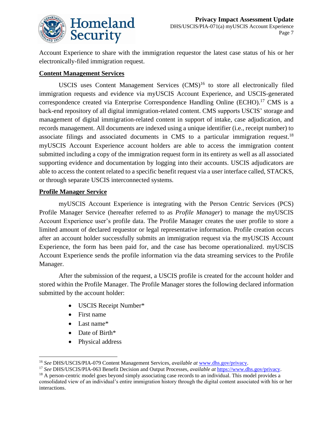

Account Experience to share with the immigration requestor the latest case status of his or her electronically-filed immigration request.

#### **Content Management Services**

USCIS uses Content Management Services  $(CMS)^{16}$  to store all electronically filed immigration requests and evidence via myUSCIS Account Experience, and USCIS-generated correspondence created via Enterprise Correspondence Handling Online (ECHO). <sup>17</sup> CMS is a back-end repository of all digital immigration-related content. CMS supports USCIS' storage and management of digital immigration-related content in support of intake, case adjudication, and records management. All documents are indexed using a unique identifier (i.e., receipt number) to associate filings and associated documents in CMS to a particular immigration request.<sup>18</sup> myUSCIS Account Experience account holders are able to access the immigration content submitted including a copy of the immigration request form in its entirety as well as all associated supporting evidence and documentation by logging into their accounts. USCIS adjudicators are able to access the content related to a specific benefit request via a user interface called, STACKS, or through separate USCIS interconnected systems.

#### **Profile Manager Service**

myUSCIS Account Experience is integrating with the Person Centric Services (PCS) Profile Manager Service (hereafter referred to as *Profile Manager*) to manage the myUSCIS Account Experience user's profile data. The Profile Manager creates the user profile to store a limited amount of declared requestor or legal representative information. Profile creation occurs after an account holder successfully submits an immigration request via the myUSCIS Account Experience, the form has been paid for, and the case has become operationalized. myUSCIS Account Experience sends the profile information via the data streaming services to the Profile Manager.

After the submission of the request, a USCIS profile is created for the account holder and stored within the Profile Manager. The Profile Manager stores the following declared information submitted by the account holder:

- USCIS Receipt Number\*
- First name
- Last name\*
- Date of Birth\*
- Physical address

<sup>16</sup> *See* DHS/USCIS/PIA-079 Content Management Services, *available at* [www.dhs.gov/privacy.](http://www.dhs.gov/privacy) 

<sup>17</sup> *See* DHS/USCIS/PIA-063 Benefit Decision and Output Processes, *available at* [https://www.dhs.gov/privacy.](https://www.dhs.gov/privacy) 

<sup>&</sup>lt;sup>18</sup> A person-centric model goes beyond simply associating case records to an individual. This model provides a consolidated view of an individual's entire immigration history through the digital content associated with his or her interactions.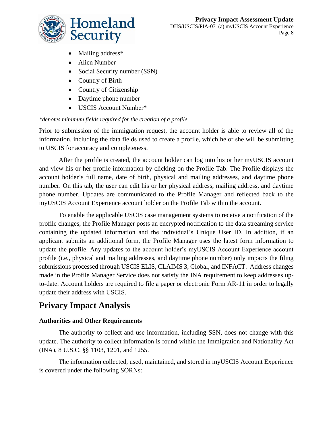

- Mailing address<sup>\*</sup>
- Alien Number
- Social Security number (SSN)
- Country of Birth
- Country of Citizenship
- Daytime phone number
- USCIS Account Number\*

#### *\*denotes minimum fields required for the creation of a profile*

Prior to submission of the immigration request, the account holder is able to review all of the information, including the data fields used to create a profile, which he or she will be submitting to USCIS for accuracy and completeness.

After the profile is created, the account holder can log into his or her myUSCIS account and view his or her profile information by clicking on the Profile Tab. The Profile displays the account holder's full name, date of birth, physical and mailing addresses, and daytime phone number. On this tab, the user can edit his or her physical address, mailing address, and daytime phone number. Updates are communicated to the Profile Manager and reflected back to the myUSCIS Account Experience account holder on the Profile Tab within the account.

To enable the applicable USCIS case management systems to receive a notification of the profile changes, the Profile Manager posts an encrypted notification to the data streaming service containing the updated information and the individual's Unique User ID. In addition, if an applicant submits an additional form, the Profile Manager uses the latest form information to update the profile. Any updates to the account holder's myUSCIS Account Experience account profile (i.e., physical and mailing addresses, and daytime phone number) only impacts the filing submissions processed through USCIS ELIS, CLAIMS 3, Global, and INFACT. Address changes made in the Profile Manager Service does not satisfy the INA requirement to keep addresses upto-date. Account holders are required to file a paper or electronic Form AR-11 in order to legally update their address with USCIS.

### **Privacy Impact Analysis**

#### **Authorities and Other Requirements**

The authority to collect and use information, including SSN, does not change with this update. The authority to collect information is found within the Immigration and Nationality Act (INA), 8 U.S.C. §§ 1103, 1201, and 1255.

The information collected, used, maintained, and stored in myUSCIS Account Experience is covered under the following SORNs: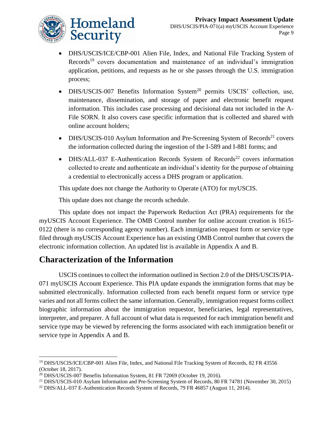

- DHS/USCIS/ICE/CBP-001 Alien File, Index, and National File Tracking System of Records<sup>19</sup> covers documentation and maintenance of an individual's immigration application, petitions, and requests as he or she passes through the U.S. immigration process;
- DHS/USCIS-007 Benefits Information System<sup>20</sup> permits USCIS' collection, use, maintenance, dissemination, and storage of paper and electronic benefit request information. This includes case processing and decisional data not included in the A-File SORN. It also covers case specific information that is collected and shared with online account holders;
- DHS/USCIS-010 Asylum Information and Pre-Screening System of Records<sup>21</sup> covers the information collected during the ingestion of the I-589 and I-881 forms; and
- DHS/ALL-037 E-Authentication Records System of Records<sup>22</sup> covers information collected to create and authenticate an individual's identity for the purpose of obtaining a credential to electronically access a DHS program or application.

This update does not change the Authority to Operate (ATO) for myUSCIS.

This update does not change the records schedule.

This update does not impact the Paperwork Reduction Act (PRA) requirements for the myUSCIS Account Experience. The OMB Control number for online account creation is 1615- 0122 (there is no corresponding agency number). Each immigration request form or service type filed through myUSCIS Account Experience has an existing OMB Control number that covers the electronic information collection. An updated list is available in Appendix A and B.

### **Characterization of the Information**

USCIS continues to collect the information outlined in Section 2.0 of the DHS/USCIS/PIA-071 myUSCIS Account Experience. This PIA update expands the immigration forms that may be submitted electronically. Information collected from each benefit request form or service type varies and not all forms collect the same information. Generally, immigration request forms collect biographic information about the immigration requestor, beneficiaries, legal representatives, interpreter, and preparer. A full account of what data is requested for each immigration benefit and service type may be viewed by referencing the forms associated with each immigration benefit or service type in Appendix A and B.

<sup>&</sup>lt;sup>19</sup> DHS/USCIS/ICE/CBP-001 Alien File, Index, and National File Tracking System of Records, 82 FR 43556 (October 18, 2017).

<sup>20</sup> DHS/USCIS-007 Benefits Information System, 81 FR 72069 (October 19, 2016).

<sup>&</sup>lt;sup>21</sup> DHS/USCIS-010 Asylum Information and Pre-Screening System of Records, 80 FR 74781 (November 30, 2015)

<sup>&</sup>lt;sup>22</sup> DHS/ALL-037 E-Authentication Records System of Records, 79 FR 46857 (August 11, 2014).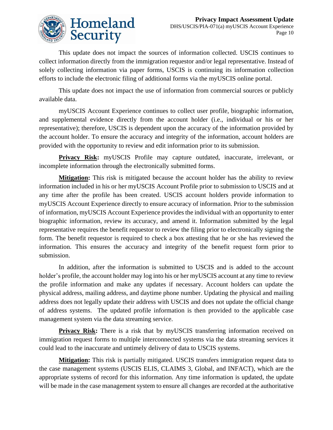

This update does not impact the sources of information collected. USCIS continues to collect information directly from the immigration requestor and/or legal representative. Instead of solely collecting information via paper forms, USCIS is continuing its information collection efforts to include the electronic filing of additional forms via the myUSCIS online portal.

This update does not impact the use of information from commercial sources or publicly available data.

myUSCIS Account Experience continues to collect user profile, biographic information, and supplemental evidence directly from the account holder (i.e., individual or his or her representative); therefore, USCIS is dependent upon the accuracy of the information provided by the account holder. To ensure the accuracy and integrity of the information, account holders are provided with the opportunity to review and edit information prior to its submission.

**Privacy Risk:** myUSCIS Profile may capture outdated, inaccurate, irrelevant, or incomplete information through the electronically submitted forms.

**Mitigation:** This risk is mitigated because the account holder has the ability to review information included in his or her myUSCIS Account Profile prior to submission to USCIS and at any time after the profile has been created. USCIS account holders provide information to myUSCIS Account Experience directly to ensure accuracy of information. Prior to the submission of information, myUSCIS Account Experience provides the individual with an opportunity to enter biographic information, review its accuracy, and amend it. Information submitted by the legal representative requires the benefit requestor to review the filing prior to electronically signing the form. The benefit requestor is required to check a box attesting that he or she has reviewed the information. This ensures the accuracy and integrity of the benefit request form prior to submission.

In addition, after the information is submitted to USCIS and is added to the account holder's profile, the account holder may log into his or her myUSCIS account at any time to review the profile information and make any updates if necessary. Account holders can update the physical address, mailing address, and daytime phone number. Updating the physical and mailing address does not legally update their address with USCIS and does not update the official change of address systems. The updated profile information is then provided to the applicable case management system via the data streaming service.

**Privacy Risk:** There is a risk that by myUSCIS transferring information received on immigration request forms to multiple interconnected systems via the data streaming services it could lead to the inaccurate and untimely delivery of data to USCIS systems.

**Mitigation:** This risk is partially mitigated. USCIS transfers immigration request data to the case management systems (USCIS ELIS, CLAIMS 3, Global, and INFACT), which are the appropriate systems of record for this information. Any time information is updated, the update will be made in the case management system to ensure all changes are recorded at the authoritative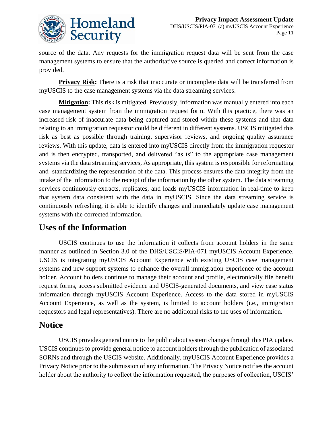

source of the data. Any requests for the immigration request data will be sent from the case management systems to ensure that the authoritative source is queried and correct information is provided.

**Privacy Risk:** There is a risk that inaccurate or incomplete data will be transferred from myUSCIS to the case management systems via the data streaming services.

**Mitigation:** This risk is mitigated. Previously, information was manually entered into each case management system from the immigration request form. With this practice, there was an increased risk of inaccurate data being captured and stored within these systems and that data relating to an immigration requestor could be different in different systems. USCIS mitigated this risk as best as possible through training, supervisor reviews, and ongoing quality assurance reviews. With this update, data is entered into myUSCIS directly from the immigration requestor and is then encrypted, transported, and delivered "as is" to the appropriate case management systems via the data streaming services, As appropriate, this system is responsible for reformatting and standardizing the representation of the data. This process ensures the data integrity from the intake of the information to the receipt of the information by the other system. The data streaming services continuously extracts, replicates, and loads myUSCIS information in real-time to keep that system data consistent with the data in myUSCIS. Since the data streaming service is continuously refreshing, it is able to identify changes and immediately update case management systems with the corrected information.

### **Uses of the Information**

USCIS continues to use the information it collects from account holders in the same manner as outlined in Section 3.0 of the DHS/USCIS/PIA-071 myUSCIS Account Experience. USCIS is integrating myUSCIS Account Experience with existing USCIS case management systems and new support systems to enhance the overall immigration experience of the account holder. Account holders continue to manage their account and profile, electronically file benefit request forms, access submitted evidence and USCIS-generated documents, and view case status information through myUSCIS Account Experience. Access to the data stored in myUSCIS Account Experience, as well as the system, is limited to account holders (i.e., immigration requestors and legal representatives). There are no additional risks to the uses of information.

#### **Notice**

USCIS provides general notice to the public about system changes through this PIA update. USCIS continues to provide general notice to account holders through the publication of associated SORNs and through the USCIS website. Additionally, myUSCIS Account Experience provides a Privacy Notice prior to the submission of any information. The Privacy Notice notifies the account holder about the authority to collect the information requested, the purposes of collection, USCIS'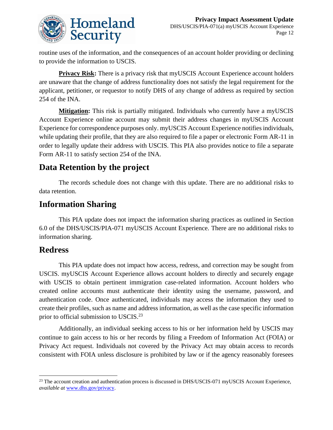

routine uses of the information, and the consequences of an account holder providing or declining to provide the information to USCIS.

**Privacy Risk:** There is a privacy risk that myUSCIS Account Experience account holders are unaware that the change of address functionality does not satisfy the legal requirement for the applicant, petitioner, or requestor to notify DHS of any change of address as required by section 254 of the INA.

**Mitigation:** This risk is partially mitigated. Individuals who currently have a myUSCIS Account Experience online account may submit their address changes in myUSCIS Account Experience for correspondence purposes only. myUSCIS Account Experience notifies individuals, while updating their profile, that they are also required to file a paper or electronic Form AR-11 in order to legally update their address with USCIS. This PIA also provides notice to file a separate Form AR-11 to satisfy section 254 of the INA.

### **Data Retention by the project**

The records schedule does not change with this update. There are no additional risks to data retention.

### **Information Sharing**

This PIA update does not impact the information sharing practices as outlined in Section 6.0 of the DHS/USCIS/PIA-071 myUSCIS Account Experience. There are no additional risks to information sharing.

#### **Redress**

This PIA update does not impact how access, redress, and correction may be sought from USCIS. myUSCIS Account Experience allows account holders to directly and securely engage with USCIS to obtain pertinent immigration case-related information. Account holders who created online accounts must authenticate their identity using the username, password, and authentication code. Once authenticated, individuals may access the information they used to create their profiles, such as name and address information, as well as the case specific information prior to official submission to USCIS.<sup>23</sup>

Additionally, an individual seeking access to his or her information held by USCIS may continue to gain access to his or her records by filing a Freedom of Information Act (FOIA) or Privacy Act request. Individuals not covered by the Privacy Act may obtain access to records consistent with FOIA unless disclosure is prohibited by law or if the agency reasonably foresees

<sup>&</sup>lt;sup>23</sup> The account creation and authentication process is discussed in DHS/USCIS-071 myUSCIS Account Experience, *available at* [www.dhs.gov/privacy.](http://www.dhs.gov/privacy)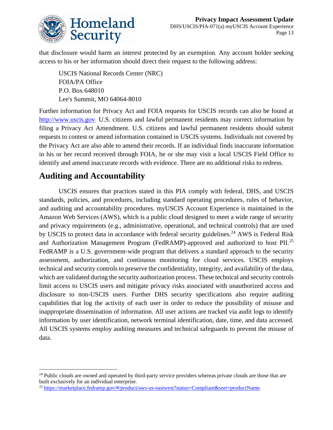

that disclosure would harm an interest protected by an exemption. Any account holder seeking access to his or her information should direct their request to the following address:

USCIS National Records Center (NRC) FOIA/PA Office P.O. Box 648010 Lee's Summit, MO 64064-8010

Further information for Privacy Act and FOIA requests for USCIS records can also be found at [http://www.uscis.gov.](http://www.uscis.gov/) U.S. citizens and lawful permanent residents may correct information by filing a Privacy Act Amendment. U.S. citizens and lawful permanent residents should submit requests to contest or amend information contained in USCIS systems. Individuals not covered by the Privacy Act are also able to amend their records. If an individual finds inaccurate information in his or her record received through FOIA, he or she may visit a local USCIS Field Office to identify and amend inaccurate records with evidence. There are no additional risks to redress.

### **Auditing and Accountability**

USCIS ensures that practices stated in this PIA comply with federal, DHS, and USCIS standards, policies, and procedures, including standard operating procedures, rules of behavior, and auditing and accountability procedures. myUSCIS Account Experience is maintained in the Amazon Web Services (AWS), which is a public cloud designed to meet a wide range of security and privacy requirements (e.g., administrative, operational, and technical controls) that are used by USCIS to protect data in accordance with federal security guidelines.<sup>24</sup> AWS is Federal Risk and Authorization Management Program (FedRAMP)-approved and authorized to host PII.<sup>25</sup> FedRAMP is a U.S. government-wide program that delivers a standard approach to the security assessment, authorization, and continuous monitoring for cloud services. USCIS employs technical and security controls to preserve the confidentiality, integrity, and availability of the data, which are validated during the security authorization process. These technical and security controls limit access to USCIS users and mitigate privacy risks associated with unauthorized access and disclosure to non-USCIS users. Further DHS security specifications also require auditing capabilities that log the activity of each user in order to reduce the possibility of misuse and inappropriate dissemination of information. All user actions are tracked via audit logs to identify information by user identification, network terminal identification, date, time, and data accessed. All USCIS systems employ auditing measures and technical safeguards to prevent the misuse of data.

<sup>&</sup>lt;sup>24</sup> Public clouds are owned and operated by third-party service providers whereas private clouds are those that are built exclusively for an individual enterprise.

<sup>25</sup> [https://marketplace.fedramp.gov/#/product/aws-us-eastwest?status=Compliant&sort=productName.](https://marketplace.fedramp.gov/#/product/aws-us-eastwest?status=Compliant&sort=productName)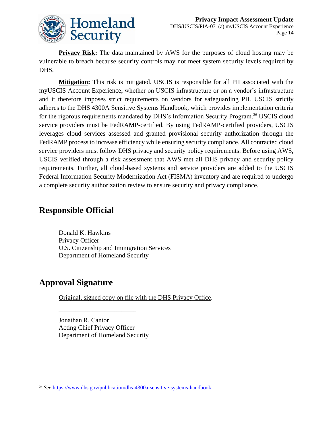

**Privacy Risk:** The data maintained by AWS for the purposes of cloud hosting may be vulnerable to breach because security controls may not meet system security levels required by DHS.

**Mitigation:** This risk is mitigated. USCIS is responsible for all PII associated with the myUSCIS Account Experience, whether on USCIS infrastructure or on a vendor's infrastructure and it therefore imposes strict requirements on vendors for safeguarding PII. USCIS strictly adheres to the DHS 4300A Sensitive Systems Handbook, which provides implementation criteria for the rigorous requirements mandated by DHS's Information Security Program.<sup>26</sup> USCIS cloud service providers must be FedRAMP-certified. By using FedRAMP-certified providers, USCIS leverages cloud services assessed and granted provisional security authorization through the FedRAMP process to increase efficiency while ensuring security compliance. All contracted cloud service providers must follow DHS privacy and security policy requirements. Before using AWS, USCIS verified through a risk assessment that AWS met all DHS privacy and security policy requirements. Further, all cloud-based systems and service providers are added to the USCIS Federal Information Security Modernization Act (FISMA) inventory and are required to undergo a complete security authorization review to ensure security and privacy compliance.

### **Responsible Official**

Donald K. Hawkins Privacy Officer U.S. Citizenship and Immigration Services Department of Homeland Security

### **Approval Signature**

Original, signed copy on file with the DHS Privacy Office.

Jonathan R. Cantor Acting Chief Privacy Officer Department of Homeland Security

\_\_\_\_\_\_\_\_\_\_\_\_\_\_\_\_\_\_\_\_\_\_\_\_\_\_\_\_\_\_\_\_

<sup>26</sup> *See* [https://www.dhs.gov/publication/dhs-4300a-sensitive-systems-handbook.](https://www.dhs.gov/publication/dhs-4300a-sensitive-systems-handbook)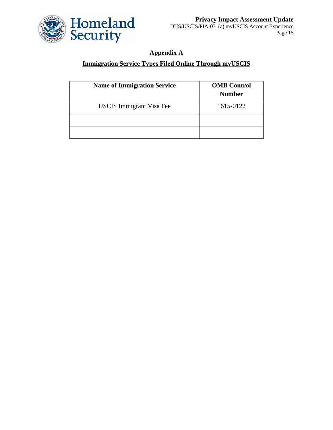

#### **Appendix A**

#### **Immigration Service Types Filed Online Through myUSCIS**

| <b>Name of Immigration Service</b> | <b>OMB</b> Control<br><b>Number</b> |
|------------------------------------|-------------------------------------|
| <b>USCIS</b> Immigrant Visa Fee    | 1615-0122                           |
|                                    |                                     |
|                                    |                                     |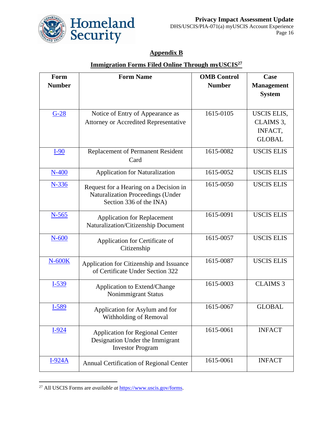

#### **Appendix B**

#### **Immigration Forms Filed Online Through myUSCIS<sup>27</sup>**

| Form          | <b>Form Name</b>                                             | <b>OMB</b> Control | Case              |
|---------------|--------------------------------------------------------------|--------------------|-------------------|
| <b>Number</b> |                                                              | <b>Number</b>      | <b>Management</b> |
|               |                                                              |                    | <b>System</b>     |
|               |                                                              |                    |                   |
| $G-28$        | Notice of Entry of Appearance as                             | 1615-0105          | USCIS ELIS,       |
|               | <b>Attorney or Accredited Representative</b>                 |                    | CLAIMS 3,         |
|               |                                                              |                    | INFACT,           |
|               |                                                              |                    | <b>GLOBAL</b>     |
| $I-90$        | Replacement of Permanent Resident                            | 1615-0082          | <b>USCIS ELIS</b> |
|               | Card                                                         |                    |                   |
| $N-400$       | <b>Application for Naturalization</b>                        | 1615-0052          | <b>USCIS ELIS</b> |
|               |                                                              | 1615-0050          | <b>USCIS ELIS</b> |
| N-336         | Request for a Hearing on a Decision in                       |                    |                   |
|               | Naturalization Proceedings (Under<br>Section 336 of the INA) |                    |                   |
|               |                                                              |                    |                   |
| $N-565$       | <b>Application for Replacement</b>                           | 1615-0091          | <b>USCIS ELIS</b> |
|               | Naturalization/Citizenship Document                          |                    |                   |
| $N-600$       | Application for Certificate of                               | 1615-0057          | <b>USCIS ELIS</b> |
|               | Citizenship                                                  |                    |                   |
|               |                                                              |                    |                   |
| $N-600K$      | Application for Citizenship and Issuance                     | 1615-0087          | <b>USCIS ELIS</b> |
|               | of Certificate Under Section 322                             |                    |                   |
| $I-539$       | Application to Extend/Change                                 | 1615-0003          | <b>CLAIMS 3</b>   |
|               | Nonimmigrant Status                                          |                    |                   |
| I-589         |                                                              | 1615-0067          | <b>GLOBAL</b>     |
|               | Application for Asylum and for<br>Withholding of Removal     |                    |                   |
|               |                                                              |                    |                   |
| $I-924$       | <b>Application for Regional Center</b>                       | 1615-0061          | <b>INFACT</b>     |
|               | Designation Under the Immigrant                              |                    |                   |
|               | <b>Investor Program</b>                                      |                    |                   |
| <b>I-924A</b> | Annual Certification of Regional Center                      | 1615-0061          | <b>INFACT</b>     |
|               |                                                              |                    |                   |

<sup>27</sup> All USCIS Forms are *available at* [https://www.uscis.gov/forms.](https://www.uscis.gov/forms)